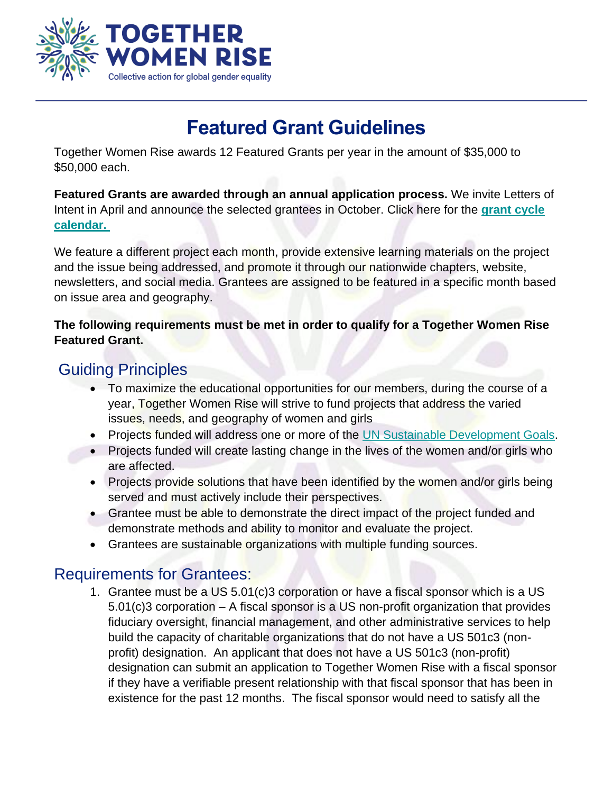

# **Featured Grant Guidelines**

Together Women Rise awards 12 Featured Grants per year in the amount of \$35,000 to \$50,000 each.

**Featured Grants are awarded through an annual application process.** We invite Letters of Intent in April and announce the selected grantees in October. Click here for the **[grant cycle](https://togetherwomenrise.org/learn/grants/apply-for-a-grant/)  [calendar.](https://togetherwomenrise.org/learn/grants/apply-for-a-grant/)**

We feature a different project each month, provide extensive learning materials on the project and the issue being addressed, and promote it through our nationwide chapters, website, newsletters, and social media. Grantees are assigned to be featured in a specific month based on issue area and geography.

#### **The following requirements must be met in order to qualify for a Together Women Rise Featured Grant.**

# Guiding Principles

- To maximize the educational opportunities for our members, during the course of a year, Together Women Rise will strive to fund projects that address the varied issues, needs, and geography of women and girls
- Projects funded will address one or more of the [UN Sustainable Development Goals.](https://sustainabledevelopment.un.org/?menu=1300)
- Projects funded will create lasting change in the lives of the women and/or girls who are affected.
- Projects provide solutions that have been identified by the women and/or girls being served and must actively include their perspectives.
- Grantee must be able to demonstrate the direct impact of the project funded and demonstrate methods and ability to monitor and evaluate the project.
- Grantees are sustainable organizations with multiple funding sources.

# Requirements for Grantees:

1. Grantee must be a US 5.01(c)3 corporation or have a fiscal sponsor which is a US 5.01(c)3 corporation – A fiscal sponsor is a US non-profit organization that provides fiduciary oversight, financial management, and other administrative services to help build the capacity of charitable organizations that do not have a US 501c3 (nonprofit) designation. An applicant that does not have a US 501c3 (non-profit) designation can submit an application to Together Women Rise with a fiscal sponsor if they have a verifiable present relationship with that fiscal sponsor that has been in existence for the past 12 months. The fiscal sponsor would need to satisfy all the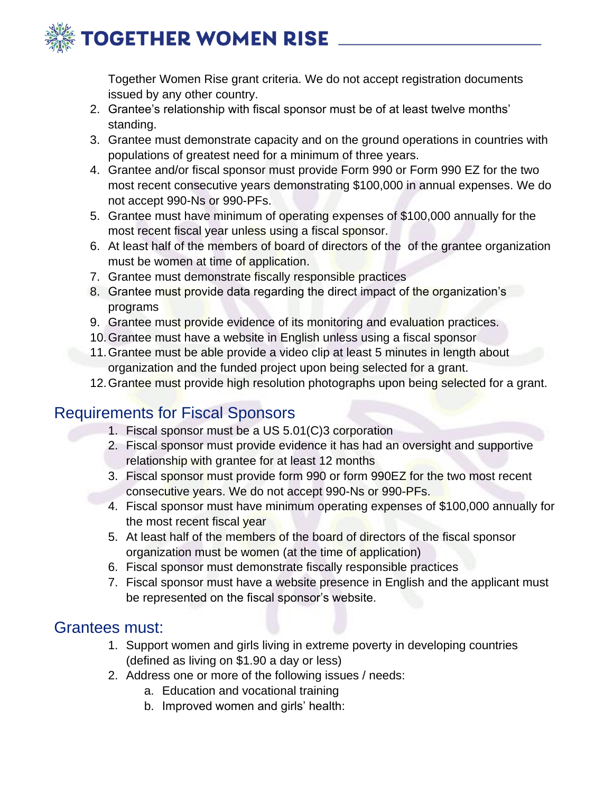

Together Women Rise grant criteria. We do not accept registration documents issued by any other country.

- 2. Grantee's relationship with fiscal sponsor must be of at least twelve months' standing.
- 3. Grantee must demonstrate capacity and on the ground operations in countries with populations of greatest need for a minimum of three years.
- 4. Grantee and/or fiscal sponsor must provide Form 990 or Form 990 EZ for the two most recent consecutive years demonstrating \$100,000 in annual expenses. We do not accept 990-Ns or 990-PFs.
- 5. Grantee must have minimum of operating expenses of \$100,000 annually for the most recent fiscal year unless using a fiscal sponsor.
- 6. At least half of the members of board of directors of the of the grantee organization must be women at time of application.
- 7. Grantee must demonstrate fiscally responsible practices
- 8. Grantee must provide data regarding the direct impact of the organization's programs
- 9. Grantee must provide evidence of its monitoring and evaluation practices.
- 10.Grantee must have a website in English unless using a fiscal sponsor
- 11.Grantee must be able provide a video clip at least 5 minutes in length about organization and the funded project upon being selected for a grant.
- 12. Grantee must provide high resolution photographs upon being selected for a grant.

# Requirements for Fiscal Sponsors

- 1. Fiscal sponsor must be a US 5.01(C)3 corporation
- 2. Fiscal sponsor must provide evidence it has had an oversight and supportive relationship with grantee for at least 12 months
- 3. Fiscal sponsor must provide form 990 or form 990EZ for the two most recent consecutive years. We do not accept 990-Ns or 990-PFs.
- 4. Fiscal sponsor must have minimum operating expenses of \$100,000 annually for the most recent fiscal year
- 5. At least half of the members of the board of directors of the fiscal sponsor organization must be women (at the time of application)
- 6. Fiscal sponsor must demonstrate fiscally responsible practices
- 7. Fiscal sponsor must have a website presence in English and the applicant must be represented on the fiscal sponsor's website.

#### Grantees must:

- 1. Support women and girls living in extreme poverty in developing countries (defined as living on \$1.90 a day or less)
- 2. Address one or more of the following issues / needs:
	- a. Education and vocational training
	- b. Improved women and girls' health: